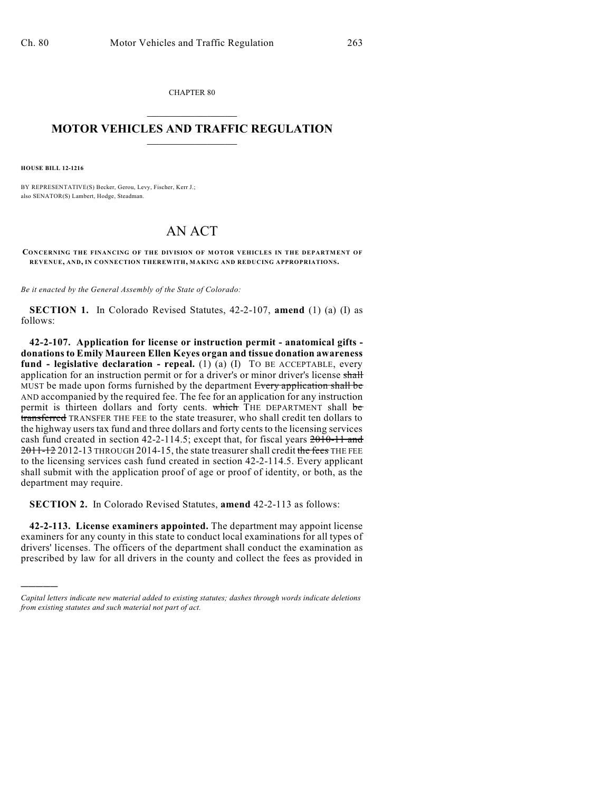CHAPTER 80  $\mathcal{L}_\text{max}$  . The set of the set of the set of the set of the set of the set of the set of the set of the set of the set of the set of the set of the set of the set of the set of the set of the set of the set of the set

## **MOTOR VEHICLES AND TRAFFIC REGULATION**  $\frac{1}{2}$  ,  $\frac{1}{2}$  ,  $\frac{1}{2}$  ,  $\frac{1}{2}$  ,  $\frac{1}{2}$  ,  $\frac{1}{2}$  ,  $\frac{1}{2}$

**HOUSE BILL 12-1216**

)))))

BY REPRESENTATIVE(S) Becker, Gerou, Levy, Fischer, Kerr J.; also SENATOR(S) Lambert, Hodge, Steadman.

## AN ACT

**CONCERNING THE FINANCING OF THE DIVISION OF MOTOR VEHICLES IN THE DEPARTMENT OF REVENUE, AND, IN CONNECTION THEREWITH, MAKING AND REDUCING APPROPRIATIONS.**

*Be it enacted by the General Assembly of the State of Colorado:*

**SECTION 1.** In Colorado Revised Statutes, 42-2-107, **amend** (1) (a) (I) as follows:

**42-2-107. Application for license or instruction permit - anatomical gifts donationsto Emily Maureen Ellen Keyes organ and tissue donation awareness fund - legislative declaration - repeal.** (1) (a) (I) TO BE ACCEPTABLE, every application for an instruction permit or for a driver's or minor driver's license shall MUST be made upon forms furnished by the department Every application shall be AND accompanied by the required fee. The fee for an application for any instruction permit is thirteen dollars and forty cents. which THE DEPARTMENT shall be transferred TRANSFER THE FEE to the state treasurer, who shall credit ten dollars to the highway users tax fund and three dollars and forty cents to the licensing services cash fund created in section 42-2-114.5; except that, for fiscal years 2010-11 and 2011-12 2012-13 THROUGH 2014-15, the state treasurer shall credit the fees THE FEE to the licensing services cash fund created in section 42-2-114.5. Every applicant shall submit with the application proof of age or proof of identity, or both, as the department may require.

**SECTION 2.** In Colorado Revised Statutes, **amend** 42-2-113 as follows:

**42-2-113. License examiners appointed.** The department may appoint license examiners for any county in this state to conduct local examinations for all types of drivers' licenses. The officers of the department shall conduct the examination as prescribed by law for all drivers in the county and collect the fees as provided in

*Capital letters indicate new material added to existing statutes; dashes through words indicate deletions from existing statutes and such material not part of act.*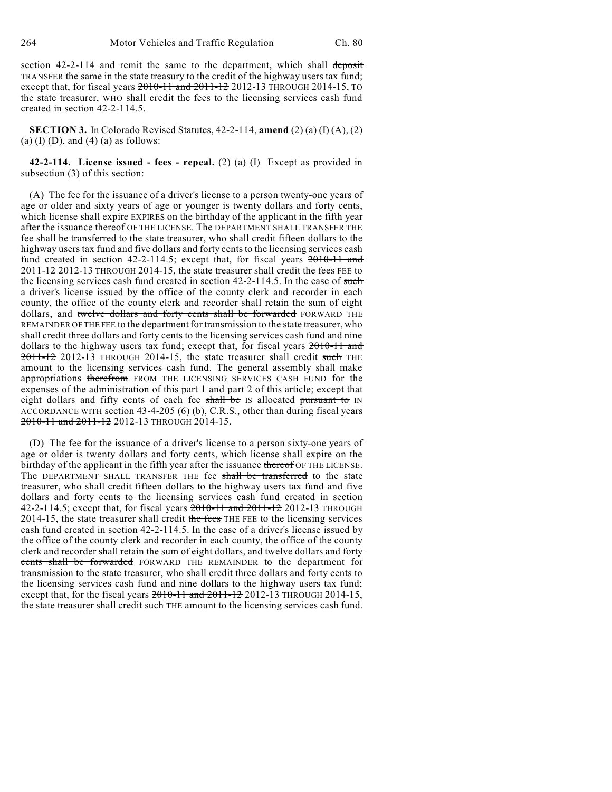section 42-2-114 and remit the same to the department, which shall deposit TRANSFER the same in the state treasury to the credit of the highway users tax fund; except that, for fiscal years  $2010-11$  and  $2011-12$  2012-13 THROUGH 2014-15, TO the state treasurer, WHO shall credit the fees to the licensing services cash fund created in section 42-2-114.5.

**SECTION 3.** In Colorado Revised Statutes, 42-2-114, **amend** (2) (a) (I) (A), (2) (a)  $(I)$   $(D)$ , and  $(4)$   $(a)$  as follows:

**42-2-114. License issued - fees - repeal.** (2) (a) (I) Except as provided in subsection (3) of this section:

(A) The fee for the issuance of a driver's license to a person twenty-one years of age or older and sixty years of age or younger is twenty dollars and forty cents, which license shall expire EXPIRES on the birthday of the applicant in the fifth year after the issuance thereof OF THE LICENSE. The DEPARTMENT SHALL TRANSFER THE fee shall be transferred to the state treasurer, who shall credit fifteen dollars to the highway users tax fund and five dollars and forty cents to the licensing services cash fund created in section 42-2-114.5; except that, for fiscal years 2010-11 and 2011-12 2012-13 THROUGH 2014-15, the state treasurer shall credit the fees FEE to the licensing services cash fund created in section 42-2-114.5. In the case of such a driver's license issued by the office of the county clerk and recorder in each county, the office of the county clerk and recorder shall retain the sum of eight dollars, and twelve dollars and forty cents shall be forwarded FORWARD THE REMAINDER OF THE FEE to the department for transmission to the state treasurer, who shall credit three dollars and forty cents to the licensing services cash fund and nine dollars to the highway users tax fund; except that, for fiscal years 2010-11 and 2011-12 2012-13 THROUGH 2014-15, the state treasurer shall credit such THE amount to the licensing services cash fund. The general assembly shall make appropriations therefrom FROM THE LICENSING SERVICES CASH FUND for the expenses of the administration of this part 1 and part 2 of this article; except that eight dollars and fifty cents of each fee shall be IS allocated pursuant to IN ACCORDANCE WITH section 43-4-205 (6) (b), C.R.S., other than during fiscal years 2010-11 and 2011-12 2012-13 THROUGH 2014-15.

(D) The fee for the issuance of a driver's license to a person sixty-one years of age or older is twenty dollars and forty cents, which license shall expire on the birthday of the applicant in the fifth year after the issuance thereof OF THE LICENSE. The DEPARTMENT SHALL TRANSFER THE fee shall be transferred to the state treasurer, who shall credit fifteen dollars to the highway users tax fund and five dollars and forty cents to the licensing services cash fund created in section 42-2-114.5; except that, for fiscal years 2010-11 and 2011-12 2012-13 THROUGH 2014-15, the state treasurer shall credit the fees THE FEE to the licensing services cash fund created in section 42-2-114.5. In the case of a driver's license issued by the office of the county clerk and recorder in each county, the office of the county clerk and recorder shall retain the sum of eight dollars, and twelve dollars and forty cents shall be forwarded FORWARD THE REMAINDER to the department for transmission to the state treasurer, who shall credit three dollars and forty cents to the licensing services cash fund and nine dollars to the highway users tax fund; except that, for the fiscal years  $2010-11$  and  $2011-12$  2012-13 THROUGH 2014-15, the state treasurer shall credit such THE amount to the licensing services cash fund.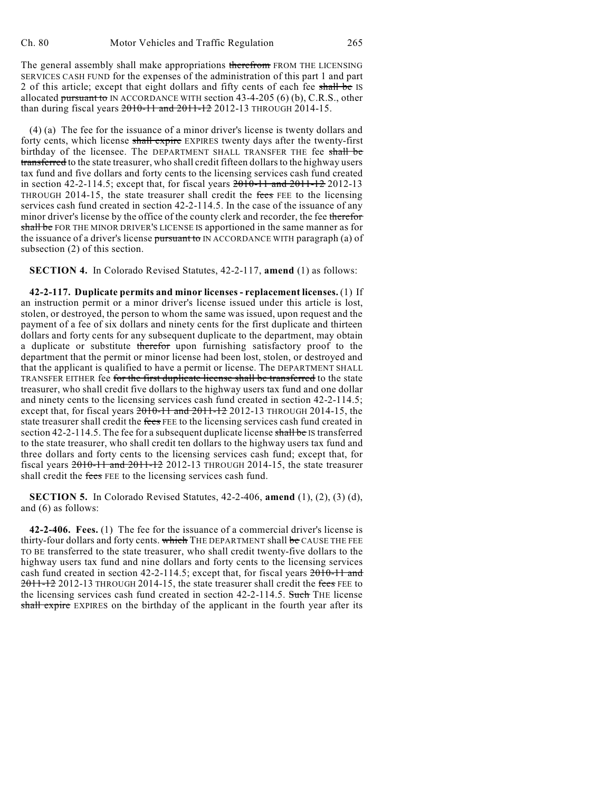The general assembly shall make appropriations therefrom FROM THE LICENSING SERVICES CASH FUND for the expenses of the administration of this part 1 and part 2 of this article; except that eight dollars and fifty cents of each fee shall be IS allocated pursuant to IN ACCORDANCE WITH section 43-4-205 (6) (b), C.R.S., other than during fiscal years 2010-11 and 2011-12 2012-13 THROUGH 2014-15.

(4) (a) The fee for the issuance of a minor driver's license is twenty dollars and forty cents, which license shall expire EXPIRES twenty days after the twenty-first birthday of the licensee. The DEPARTMENT SHALL TRANSFER THE fee shall be transferred to the state treasurer, who shall credit fifteen dollars to the highway users tax fund and five dollars and forty cents to the licensing services cash fund created in section 42-2-114.5; except that, for fiscal years  $2010-11$  and  $2011-12$  2012-13 THROUGH 2014-15, the state treasurer shall credit the fees FEE to the licensing services cash fund created in section 42-2-114.5. In the case of the issuance of any minor driver's license by the office of the county clerk and recorder, the fee therefor shall be FOR THE MINOR DRIVER'S LICENSE IS apportioned in the same manner as for the issuance of a driver's license pursuant to IN ACCORDANCE WITH paragraph (a) of subsection (2) of this section.

**SECTION 4.** In Colorado Revised Statutes, 42-2-117, **amend** (1) as follows:

**42-2-117. Duplicate permits and minor licenses - replacement licenses.** (1) If an instruction permit or a minor driver's license issued under this article is lost, stolen, or destroyed, the person to whom the same was issued, upon request and the payment of a fee of six dollars and ninety cents for the first duplicate and thirteen dollars and forty cents for any subsequent duplicate to the department, may obtain a duplicate or substitute therefor upon furnishing satisfactory proof to the department that the permit or minor license had been lost, stolen, or destroyed and that the applicant is qualified to have a permit or license. The DEPARTMENT SHALL TRANSFER EITHER fee for the first duplicate license shall be transferred to the state treasurer, who shall credit five dollars to the highway users tax fund and one dollar and ninety cents to the licensing services cash fund created in section 42-2-114.5; except that, for fiscal years  $2010-11$  and  $2011-12$  2012-13 THROUGH 2014-15, the state treasurer shall credit the fees FEE to the licensing services cash fund created in section 42-2-114.5. The fee for a subsequent duplicate license shall be IS transferred to the state treasurer, who shall credit ten dollars to the highway users tax fund and three dollars and forty cents to the licensing services cash fund; except that, for fiscal years 2010-11 and 2011-12 2012-13 THROUGH 2014-15, the state treasurer shall credit the fees FEE to the licensing services cash fund.

**SECTION 5.** In Colorado Revised Statutes, 42-2-406, **amend** (1), (2), (3) (d), and (6) as follows:

**42-2-406. Fees.** (1) The fee for the issuance of a commercial driver's license is thirty-four dollars and forty cents. which THE DEPARTMENT shall be CAUSE THE FEE TO BE transferred to the state treasurer, who shall credit twenty-five dollars to the highway users tax fund and nine dollars and forty cents to the licensing services cash fund created in section 42-2-114.5; except that, for fiscal years 2010-11 and 2011-12 2012-13 THROUGH 2014-15, the state treasurer shall credit the fees FEE to the licensing services cash fund created in section 42-2-114.5. Such THE license shall expire EXPIRES on the birthday of the applicant in the fourth year after its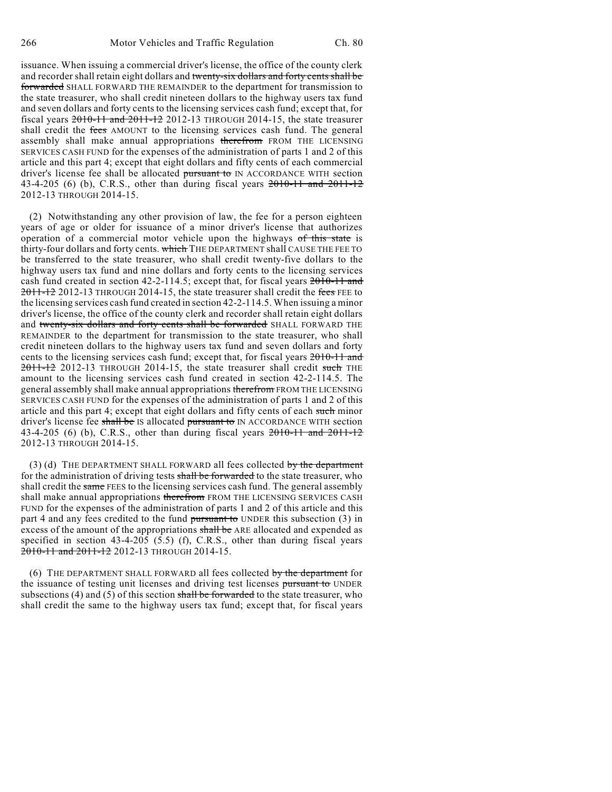issuance. When issuing a commercial driver's license, the office of the county clerk and recorder shall retain eight dollars and twenty-six dollars and forty cents shall be forwarded SHALL FORWARD THE REMAINDER to the department for transmission to the state treasurer, who shall credit nineteen dollars to the highway users tax fund and seven dollars and forty cents to the licensing services cash fund; except that, for fiscal years  $2010-11$  and  $2011-12$  2012-13 THROUGH 2014-15, the state treasurer shall credit the fees AMOUNT to the licensing services cash fund. The general assembly shall make annual appropriations therefrom FROM THE LICENSING SERVICES CASH FUND for the expenses of the administration of parts 1 and 2 of this article and this part 4; except that eight dollars and fifty cents of each commercial driver's license fee shall be allocated pursuant to IN ACCORDANCE WITH section 43-4-205 (6) (b), C.R.S., other than during fiscal years  $2010-11$  and  $2011-12$ 2012-13 THROUGH 2014-15.

(2) Notwithstanding any other provision of law, the fee for a person eighteen years of age or older for issuance of a minor driver's license that authorizes operation of a commercial motor vehicle upon the highways of this state is thirty-four dollars and forty cents. which THE DEPARTMENT shall CAUSE THE FEE TO be transferred to the state treasurer, who shall credit twenty-five dollars to the highway users tax fund and nine dollars and forty cents to the licensing services cash fund created in section 42-2-114.5; except that, for fiscal years 2010-11 and 2011-12 2012-13 THROUGH 2014-15, the state treasurer shall credit the fees FEE to the licensing services cash fund created in section 42-2-114.5. When issuing a minor driver's license, the office of the county clerk and recorder shall retain eight dollars and twenty-six dollars and forty cents shall be forwarded SHALL FORWARD THE REMAINDER to the department for transmission to the state treasurer, who shall credit nineteen dollars to the highway users tax fund and seven dollars and forty cents to the licensing services cash fund; except that, for fiscal years 2010-11 and 2011-12 2012-13 THROUGH 2014-15, the state treasurer shall credit such THE amount to the licensing services cash fund created in section 42-2-114.5. The general assembly shall make annual appropriations therefrom FROM THE LICENSING SERVICES CASH FUND for the expenses of the administration of parts 1 and 2 of this article and this part 4; except that eight dollars and fifty cents of each such minor driver's license fee shall be IS allocated pursuant to IN ACCORDANCE WITH section 43-4-205 (6) (b), C.R.S., other than during fiscal years  $2010-11$  and  $2011-12$ 2012-13 THROUGH 2014-15.

(3) (d) THE DEPARTMENT SHALL FORWARD all fees collected by the department for the administration of driving tests shall be forwarded to the state treasurer, who shall credit the same FEES to the licensing services cash fund. The general assembly shall make annual appropriations therefrom FROM THE LICENSING SERVICES CASH FUND for the expenses of the administration of parts 1 and 2 of this article and this part 4 and any fees credited to the fund pursuant to UNDER this subsection  $(3)$  in excess of the amount of the appropriations shall be ARE allocated and expended as specified in section 43-4-205 (5.5) (f), C.R.S., other than during fiscal years 2010-11 and 2011-12 2012-13 THROUGH 2014-15.

(6) THE DEPARTMENT SHALL FORWARD all fees collected by the department for the issuance of testing unit licenses and driving test licenses pursuant to UNDER subsections (4) and (5) of this section shall be forwarded to the state treasurer, who shall credit the same to the highway users tax fund; except that, for fiscal years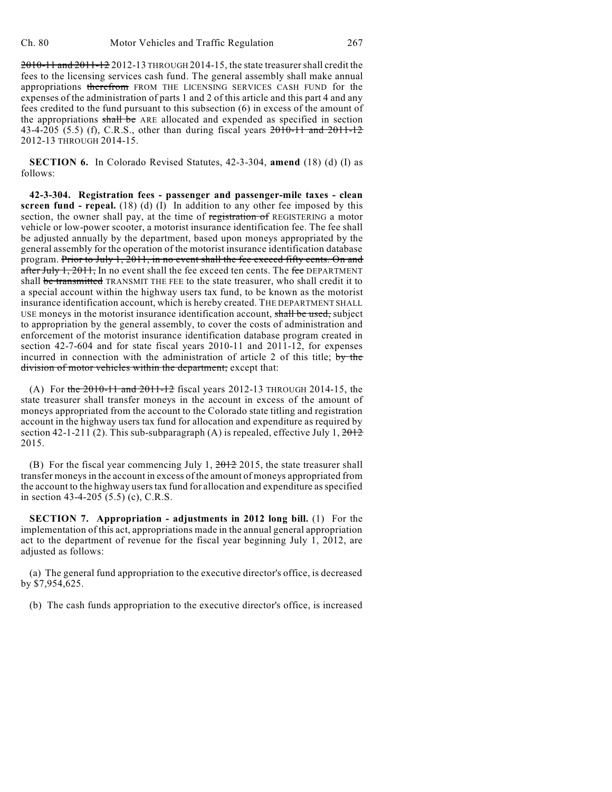2010-11 and 2011-12 2012-13 THROUGH 2014-15, the state treasurershall credit the fees to the licensing services cash fund. The general assembly shall make annual appropriations therefrom FROM THE LICENSING SERVICES CASH FUND for the expenses of the administration of parts 1 and 2 of this article and this part 4 and any fees credited to the fund pursuant to this subsection (6) in excess of the amount of the appropriations shall be ARE allocated and expended as specified in section 43-4-205 (5.5) (f), C.R.S., other than during fiscal years 2010-11 and 2011-12 2012-13 THROUGH 2014-15.

**SECTION 6.** In Colorado Revised Statutes, 42-3-304, **amend** (18) (d) (I) as follows:

**42-3-304. Registration fees - passenger and passenger-mile taxes - clean screen fund - repeal.** (18) (d) (I) In addition to any other fee imposed by this section, the owner shall pay, at the time of registration of REGISTERING a motor vehicle or low-power scooter, a motorist insurance identification fee. The fee shall be adjusted annually by the department, based upon moneys appropriated by the general assembly for the operation of the motorist insurance identification database program. Prior to July 1, 2011, in no event shall the fee exceed fifty cents. On and after July 1, 2011, In no event shall the fee exceed ten cents. The fee DEPARTMENT shall be transmitted TRANSMIT THE FEE to the state treasurer, who shall credit it to a special account within the highway users tax fund, to be known as the motorist insurance identification account, which is hereby created. THE DEPARTMENT SHALL USE moneys in the motorist insurance identification account, shall be used, subject to appropriation by the general assembly, to cover the costs of administration and enforcement of the motorist insurance identification database program created in section 42-7-604 and for state fiscal years 2010-11 and 2011-12, for expenses incurred in connection with the administration of article 2 of this title; by the division of motor vehicles within the department; except that:

(A) For the 2010-11 and 2011-12 fiscal years 2012-13 THROUGH 2014-15, the state treasurer shall transfer moneys in the account in excess of the amount of moneys appropriated from the account to the Colorado state titling and registration account in the highway users tax fund for allocation and expenditure as required by section 42-1-211 (2). This sub-subparagraph (A) is repealed, effective July 1,  $2012$ 2015.

(B) For the fiscal year commencing July 1,  $2012$  2015, the state treasurer shall transfer moneys in the account in excess of the amount of moneys appropriated from the account to the highway users tax fund for allocation and expenditure as specified in section 43-4-205 (5.5) (c), C.R.S.

**SECTION 7. Appropriation - adjustments in 2012 long bill.** (1) For the implementation of this act, appropriations made in the annual general appropriation act to the department of revenue for the fiscal year beginning July 1, 2012, are adjusted as follows:

(a) The general fund appropriation to the executive director's office, is decreased by \$7,954,625.

(b) The cash funds appropriation to the executive director's office, is increased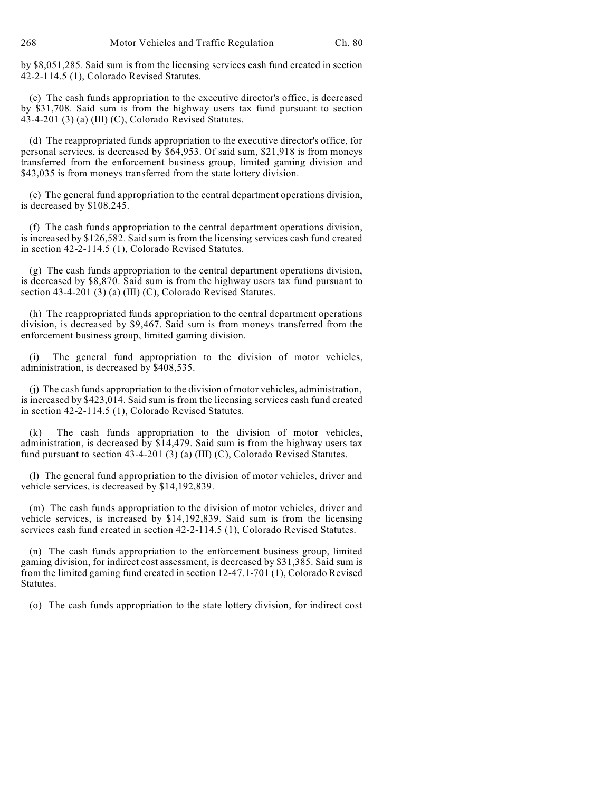by \$8,051,285. Said sum is from the licensing services cash fund created in section 42-2-114.5 (1), Colorado Revised Statutes.

(c) The cash funds appropriation to the executive director's office, is decreased by \$31,708. Said sum is from the highway users tax fund pursuant to section 43-4-201 (3) (a) (III) (C), Colorado Revised Statutes.

(d) The reappropriated funds appropriation to the executive director's office, for personal services, is decreased by \$64,953. Of said sum, \$21,918 is from moneys transferred from the enforcement business group, limited gaming division and \$43,035 is from moneys transferred from the state lottery division.

(e) The general fund appropriation to the central department operations division, is decreased by \$108,245.

(f) The cash funds appropriation to the central department operations division, is increased by \$126,582. Said sum is from the licensing services cash fund created in section 42-2-114.5 (1), Colorado Revised Statutes.

(g) The cash funds appropriation to the central department operations division, is decreased by \$8,870. Said sum is from the highway users tax fund pursuant to section 43-4-201 (3) (a) (III) (C), Colorado Revised Statutes.

(h) The reappropriated funds appropriation to the central department operations division, is decreased by \$9,467. Said sum is from moneys transferred from the enforcement business group, limited gaming division.

(i) The general fund appropriation to the division of motor vehicles, administration, is decreased by \$408,535.

(j) The cash funds appropriation to the division of motor vehicles, administration, is increased by \$423,014. Said sum is from the licensing services cash fund created in section 42-2-114.5 (1), Colorado Revised Statutes.

The cash funds appropriation to the division of motor vehicles, administration, is decreased by \$14,479. Said sum is from the highway users tax fund pursuant to section  $43-4-201$  (3) (a) (III) (C), Colorado Revised Statutes.

(l) The general fund appropriation to the division of motor vehicles, driver and vehicle services, is decreased by \$14,192,839.

(m) The cash funds appropriation to the division of motor vehicles, driver and vehicle services, is increased by \$14,192,839. Said sum is from the licensing services cash fund created in section 42-2-114.5 (1), Colorado Revised Statutes.

(n) The cash funds appropriation to the enforcement business group, limited gaming division, for indirect cost assessment, is decreased by \$31,385. Said sum is from the limited gaming fund created in section 12-47.1-701 (1), Colorado Revised Statutes.

(o) The cash funds appropriation to the state lottery division, for indirect cost